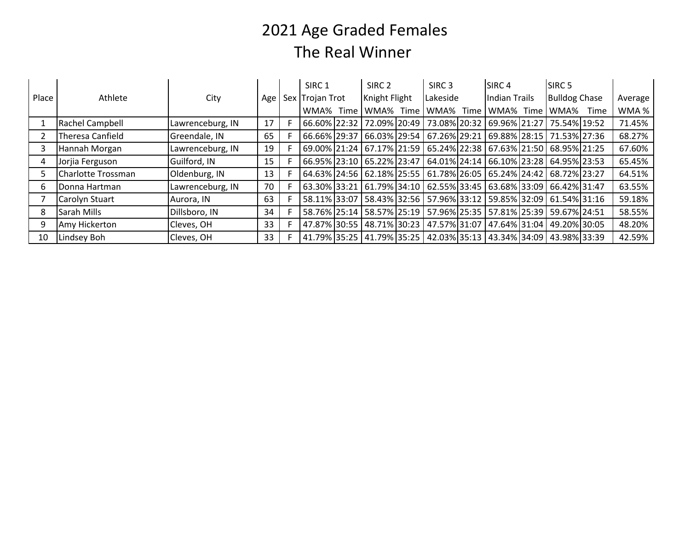## 2021 Age Graded FemalesThe Real Winner

|       | Athlete               | City             | Age | SIRC <sub>1</sub><br>Sex Trojan Trot |      | SIRC <sub>2</sub><br>Knight Flight |      | SIRC <sub>3</sub><br>Lakeside |  | SIRC <sub>4</sub><br><b>Indian Trails</b>  |      | SIRC <sub>5</sub><br><b>Bulldog Chase</b> |      |         |
|-------|-----------------------|------------------|-----|--------------------------------------|------|------------------------------------|------|-------------------------------|--|--------------------------------------------|------|-------------------------------------------|------|---------|
| Place |                       |                  |     |                                      |      |                                    |      |                               |  |                                            |      |                                           |      | Average |
|       |                       |                  |     | WMA%                                 | Time | WMA%                               | Time | WMA% Time                     |  | WMA%                                       | Time | WMA%                                      | Time | WMA %   |
|       | Rachel Campbell       | Lawrenceburg, IN | 17  |                                      |      | 66.60% 22:32 72.09% 20:49          |      | 73.08% 20:32                  |  | 69.96% 21:27                               |      | 75.54% 19:52                              |      | 71.45%  |
|       | Theresa Canfield      | Greendale, IN    | 65  |                                      |      | 66.66% 29:37 66.03% 29:54          |      | 67.26% 29:21                  |  | 69.88% 28:15                               |      | 71.53% 27:36                              |      | 68.27%  |
|       | Hannah Morgan         | Lawrenceburg, IN | 19  |                                      |      | 69.00% 21:24   67.17% 21:59        |      |                               |  | 65.24% 22:38 67.63% 21:50 68.95% 21:25     |      |                                           |      | 67.60%  |
|       | Jorjia Ferguson       | Guilford, IN     | 15  |                                      |      | 66.95% 23:10 65.22% 23:47          |      |                               |  | 64.01% 24:14   66.10% 23:28   64.95% 23:53 |      |                                           |      | 65.45%  |
|       | Charlotte Trossman    | Oldenburg, IN    | 13  |                                      |      | 64.63% 24:56 62.18% 25:55          |      |                               |  | 61.78% 26:05 65.24% 24:42 68.72% 23:27     |      |                                           |      | 64.51%  |
| 6.    | Donna Hartman         | Lawrenceburg, IN | 70  |                                      |      | 63.30% 33:21 61.79% 34:10          |      |                               |  | 62.55% 33:45 63.68% 33:09 66.42% 31:47     |      |                                           |      | 63.55%  |
|       | <b>Carolyn Stuart</b> | Aurora, IN       | 63  |                                      |      | 58.11% 33:07 58.43% 32:56          |      | 57.96% 33:12                  |  | 59.85% 32:09   61.54% 31:16                |      |                                           |      | 59.18%  |
| 8     | Sarah Mills           | Dillsboro, IN    | 34  |                                      |      | 58.76% 25:14 58.57% 25:19          |      | 57.96% 25:35                  |  | 57.81%   25:39   59.67%   24:51            |      |                                           |      | 58.55%  |
| q     | Amy Hickerton         | Cleves, OH       | 33  |                                      |      | 47.87% 30:55 48.71% 30:23          |      | 47.57% 31:07                  |  | 47.64% 31:04   49.20% 30:05                |      |                                           |      | 48.20%  |
| 10    | Lindsey Boh           | Cleves, OH       | 33  |                                      |      | 41.79% 35:25   41.79% 35:25        |      | 42.03% 35:13                  |  | 43.34% 34:09   43.98% 33:39                |      |                                           |      | 42.59%  |